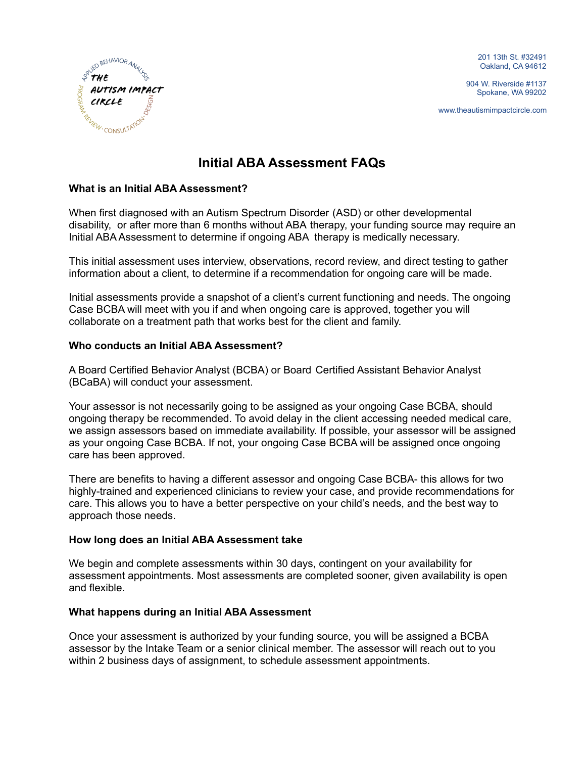201 13th St. #32491 Oakland, CA 94612

904 W. Riverside #1137 Spokane, WA 99202

www.theautismimpactcircle.com



# **Initial ABA Assessment FAQs**

# **What is an Initial ABA Assessment?**

When first diagnosed with an Autism Spectrum Disorder (ASD) or other developmental disability, or after more than 6 months without ABA therapy, your funding source may require an Initial ABA Assessment to determine if ongoing ABA therapy is medically necessary.

This initial assessment uses interview, observations, record review, and direct testing to gather information about a client, to determine if a recommendation for ongoing care will be made.

Initial assessments provide a snapshot of a client's current functioning and needs. The ongoing Case BCBA will meet with you if and when ongoing care is approved, together you will collaborate on a treatment path that works best for the client and family.

#### **Who conducts an Initial ABA Assessment?**

A Board Certified Behavior Analyst (BCBA) or Board Certified Assistant Behavior Analyst (BCaBA) will conduct your assessment.

Your assessor is not necessarily going to be assigned as your ongoing Case BCBA, should ongoing therapy be recommended. To avoid delay in the client accessing needed medical care, we assign assessors based on immediate availability. If possible, your assessor will be assigned as your ongoing Case BCBA. If not, your ongoing Case BCBA will be assigned once ongoing care has been approved.

There are benefits to having a different assessor and ongoing Case BCBA- this allows for two highly-trained and experienced clinicians to review your case, and provide recommendations for care. This allows you to have a better perspective on your child's needs, and the best way to approach those needs.

#### **How long does an Initial ABA Assessment take**

We begin and complete assessments within 30 days, contingent on your availability for assessment appointments. Most assessments are completed sooner, given availability is open and flexible.

#### **What happens during an Initial ABA Assessment**

Once your assessment is authorized by your funding source, you will be assigned a BCBA assessor by the Intake Team or a senior clinical member. The assessor will reach out to you within 2 business days of assignment, to schedule assessment appointments.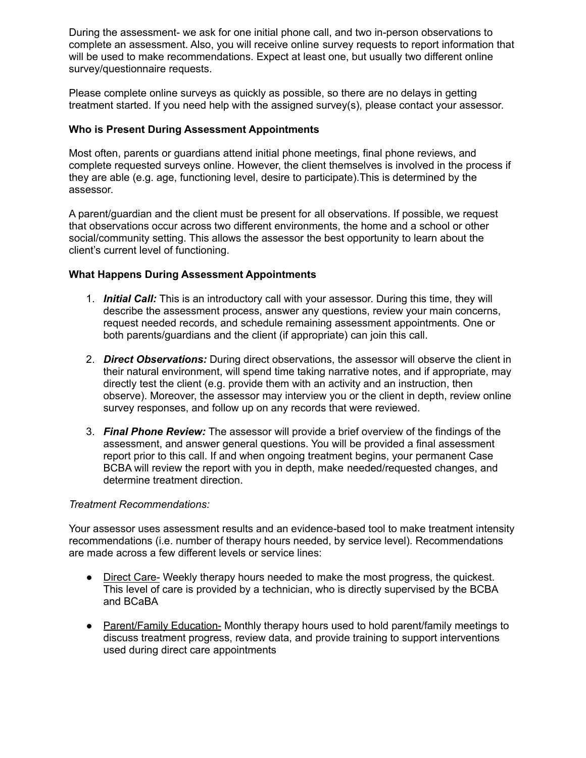During the assessment- we ask for one initial phone call, and two in-person observations to complete an assessment. Also, you will receive online survey requests to report information that will be used to make recommendations. Expect at least one, but usually two different online survey/questionnaire requests.

Please complete online surveys as quickly as possible, so there are no delays in getting treatment started. If you need help with the assigned survey(s), please contact your assessor.

# **Who is Present During Assessment Appointments**

Most often, parents or guardians attend initial phone meetings, final phone reviews, and complete requested surveys online. However, the client themselves is involved in the process if they are able (e.g. age, functioning level, desire to participate).This is determined by the assessor.

A parent/guardian and the client must be present for all observations. If possible, we request that observations occur across two different environments, the home and a school or other social/community setting. This allows the assessor the best opportunity to learn about the client's current level of functioning.

#### **What Happens During Assessment Appointments**

- 1. *Initial Call:* This is an introductory call with your assessor. During this time, they will describe the assessment process, answer any questions, review your main concerns, request needed records, and schedule remaining assessment appointments. One or both parents/guardians and the client (if appropriate) can join this call.
- 2. *Direct Observations:* During direct observations, the assessor will observe the client in their natural environment, will spend time taking narrative notes, and if appropriate, may directly test the client (e.g. provide them with an activity and an instruction, then observe). Moreover, the assessor may interview you or the client in depth, review online survey responses, and follow up on any records that were reviewed.
- 3. *Final Phone Review:* The assessor will provide a brief overview of the findings of the assessment, and answer general questions. You will be provided a final assessment report prior to this call. If and when ongoing treatment begins, your permanent Case BCBA will review the report with you in depth, make needed/requested changes, and determine treatment direction.

#### *Treatment Recommendations:*

Your assessor uses assessment results and an evidence-based tool to make treatment intensity recommendations (i.e. number of therapy hours needed, by service level). Recommendations are made across a few different levels or service lines:

- Direct Care- Weekly therapy hours needed to make the most progress, the quickest. This level of care is provided by a technician, who is directly supervised by the BCBA and BCaBA
- Parent/Family Education- Monthly therapy hours used to hold parent/family meetings to discuss treatment progress, review data, and provide training to support interventions used during direct care appointments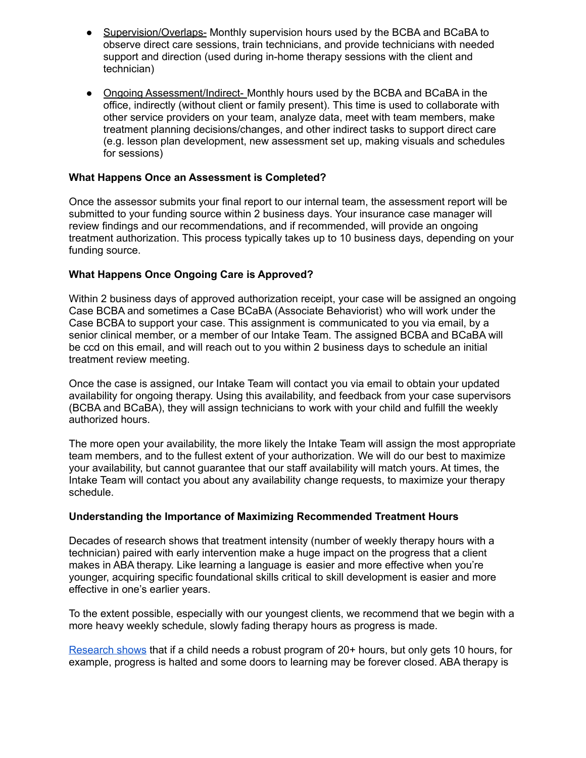- Supervision/Overlaps- Monthly supervision hours used by the BCBA and BCaBA to observe direct care sessions, train technicians, and provide technicians with needed support and direction (used during in-home therapy sessions with the client and technician)
- Ongoing Assessment/Indirect- Monthly hours used by the BCBA and BCaBA in the office, indirectly (without client or family present). This time is used to collaborate with other service providers on your team, analyze data, meet with team members, make treatment planning decisions/changes, and other indirect tasks to support direct care (e.g. lesson plan development, new assessment set up, making visuals and schedules for sessions)

# **What Happens Once an Assessment is Completed?**

Once the assessor submits your final report to our internal team, the assessment report will be submitted to your funding source within 2 business days. Your insurance case manager will review findings and our recommendations, and if recommended, will provide an ongoing treatment authorization. This process typically takes up to 10 business days, depending on your funding source.

# **What Happens Once Ongoing Care is Approved?**

Within 2 business days of approved authorization receipt, your case will be assigned an ongoing Case BCBA and sometimes a Case BCaBA (Associate Behaviorist) who will work under the Case BCBA to support your case. This assignment is communicated to you via email, by a senior clinical member, or a member of our Intake Team. The assigned BCBA and BCaBA will be ccd on this email, and will reach out to you within 2 business days to schedule an initial treatment review meeting.

Once the case is assigned, our Intake Team will contact you via email to obtain your updated availability for ongoing therapy. Using this availability, and feedback from your case supervisors (BCBA and BCaBA), they will assign technicians to work with your child and fulfill the weekly authorized hours.

The more open your availability, the more likely the Intake Team will assign the most appropriate team members, and to the fullest extent of your authorization. We will do our best to maximize your availability, but cannot guarantee that our staff availability will match yours. At times, the Intake Team will contact you about any availability change requests, to maximize your therapy schedule.

#### **Understanding the Importance of Maximizing Recommended Treatment Hours**

Decades of research shows that treatment intensity (number of weekly therapy hours with a technician) paired with early intervention make a huge impact on the progress that a client makes in ABA therapy. Like learning a language is easier and more effective when you're younger, acquiring specific foundational skills critical to skill development is easier and more effective in one's earlier years.

To the extent possible, especially with our youngest clients, we recommend that we begin with a more heavy weekly schedule, slowly fading therapy hours as progress is made.

[Research](https://www.ncbi.nlm.nih.gov/pmc/articles/PMC6494600/) shows that if a child needs a robust program of 20+ hours, but only gets 10 hours, for example, progress is halted and some doors to learning may be forever closed. ABA therapy is